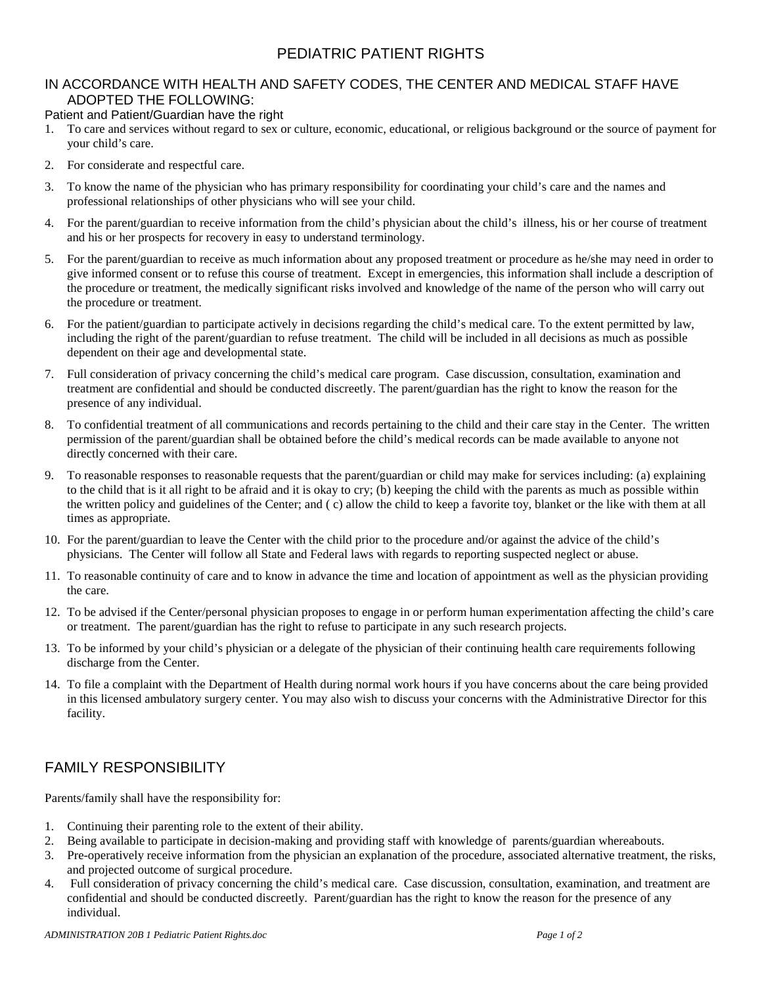## PEDIATRIC PATIENT RIGHTS

## IN ACCORDANCE WITH HEALTH AND SAFETY CODES, THE CENTER AND MEDICAL STAFF HAVE ADOPTED THE FOLLOWING:

Patient and Patient/Guardian have the right

- 1. To care and services without regard to sex or culture, economic, educational, or religious background or the source of payment for your child's care.
- 2. For considerate and respectful care.
- 3. To know the name of the physician who has primary responsibility for coordinating your child's care and the names and professional relationships of other physicians who will see your child.
- 4. For the parent/guardian to receive information from the child's physician about the child's illness, his or her course of treatment and his or her prospects for recovery in easy to understand terminology.
- 5. For the parent/guardian to receive as much information about any proposed treatment or procedure as he/she may need in order to give informed consent or to refuse this course of treatment. Except in emergencies, this information shall include a description of the procedure or treatment, the medically significant risks involved and knowledge of the name of the person who will carry out the procedure or treatment.
- 6. For the patient/guardian to participate actively in decisions regarding the child's medical care. To the extent permitted by law, including the right of the parent/guardian to refuse treatment. The child will be included in all decisions as much as possible dependent on their age and developmental state.
- 7. Full consideration of privacy concerning the child's medical care program. Case discussion, consultation, examination and treatment are confidential and should be conducted discreetly. The parent/guardian has the right to know the reason for the presence of any individual.
- 8. To confidential treatment of all communications and records pertaining to the child and their care stay in the Center. The written permission of the parent/guardian shall be obtained before the child's medical records can be made available to anyone not directly concerned with their care.
- 9. To reasonable responses to reasonable requests that the parent/guardian or child may make for services including: (a) explaining to the child that is it all right to be afraid and it is okay to cry; (b) keeping the child with the parents as much as possible within the written policy and guidelines of the Center; and ( c) allow the child to keep a favorite toy, blanket or the like with them at all times as appropriate.
- 10. For the parent/guardian to leave the Center with the child prior to the procedure and/or against the advice of the child's physicians. The Center will follow all State and Federal laws with regards to reporting suspected neglect or abuse.
- 11. To reasonable continuity of care and to know in advance the time and location of appointment as well as the physician providing the care.
- 12. To be advised if the Center/personal physician proposes to engage in or perform human experimentation affecting the child's care or treatment. The parent/guardian has the right to refuse to participate in any such research projects.
- 13. To be informed by your child's physician or a delegate of the physician of their continuing health care requirements following discharge from the Center.
- 14. To file a complaint with the Department of Health during normal work hours if you have concerns about the care being provided in this licensed ambulatory surgery center. You may also wish to discuss your concerns with the Administrative Director for this facility.

## FAMILY RESPONSIBILITY

Parents/family shall have the responsibility for:

- 1. Continuing their parenting role to the extent of their ability.
- 2. Being available to participate in decision-making and providing staff with knowledge of parents/guardian whereabouts.
- 3. Pre-operatively receive information from the physician an explanation of the procedure, associated alternative treatment, the risks, and projected outcome of surgical procedure.
- 4. Full consideration of privacy concerning the child's medical care. Case discussion, consultation, examination, and treatment are confidential and should be conducted discreetly. Parent/guardian has the right to know the reason for the presence of any individual.